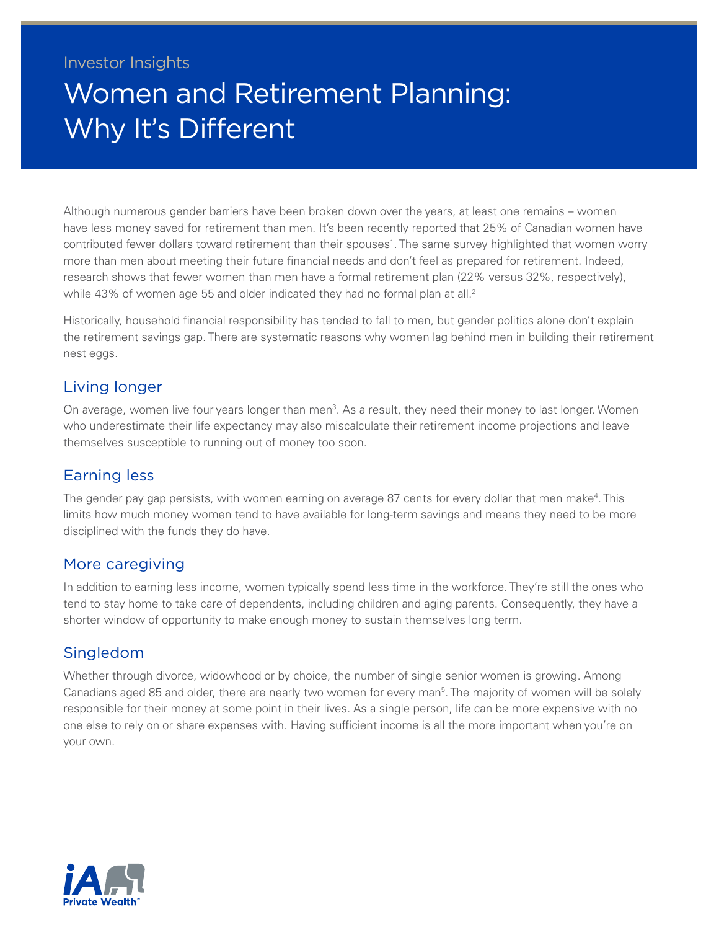### Investor Insights

# Women and Retirement Planning: Why It's Different

Although numerous gender barriers have been broken down over the years, at least one remains – women have less money saved for retirement than men. It's been recently reported that 25% of Canadian women have contributed fewer dollars toward retirement than their spouses<sup>1</sup>. The same survey highlighted that women worry more than men about meeting their future financial needs and don't feel as prepared for retirement. Indeed, research shows that fewer women than men have a formal retirement plan (22% versus 32%, respectively), while 43% of women age 55 and older indicated they had no formal plan at all.<sup>2</sup>

Historically, household financial responsibility has tended to fall to men, but gender politics alone don't explain the retirement savings gap. There are systematic reasons why women lag behind men in building their retirement nest eggs.

#### Living longer

On average, women live four years longer than men<sup>3</sup>. As a result, they need their money to last longer. Women who underestimate their life expectancy may also miscalculate their retirement income projections and leave themselves susceptible to running out of money too soon.

#### Earning less

The gender pay gap persists, with women earning on average 87 cents for every dollar that men make<sup>4</sup>. This limits how much money women tend to have available for long-term savings and means they need to be more disciplined with the funds they do have.

#### More caregiving

In addition to earning less income, women typically spend less time in the workforce. They're still the ones who tend to stay home to take care of dependents, including children and aging parents. Consequently, they have a shorter window of opportunity to make enough money to sustain themselves long term.

#### Singledom

Whether through divorce, widowhood or by choice, the number of single senior women is growing. Among Canadians aged 8[5](#page-1-4) and older, there are nearly two women for every man<sup>5</sup>. The majority of women will be solely responsible for their money at some point in their lives. As a single person, life can be more expensive with no one else to rely on or share expenses with. Having sufficient income is all the more important when you're on your own.